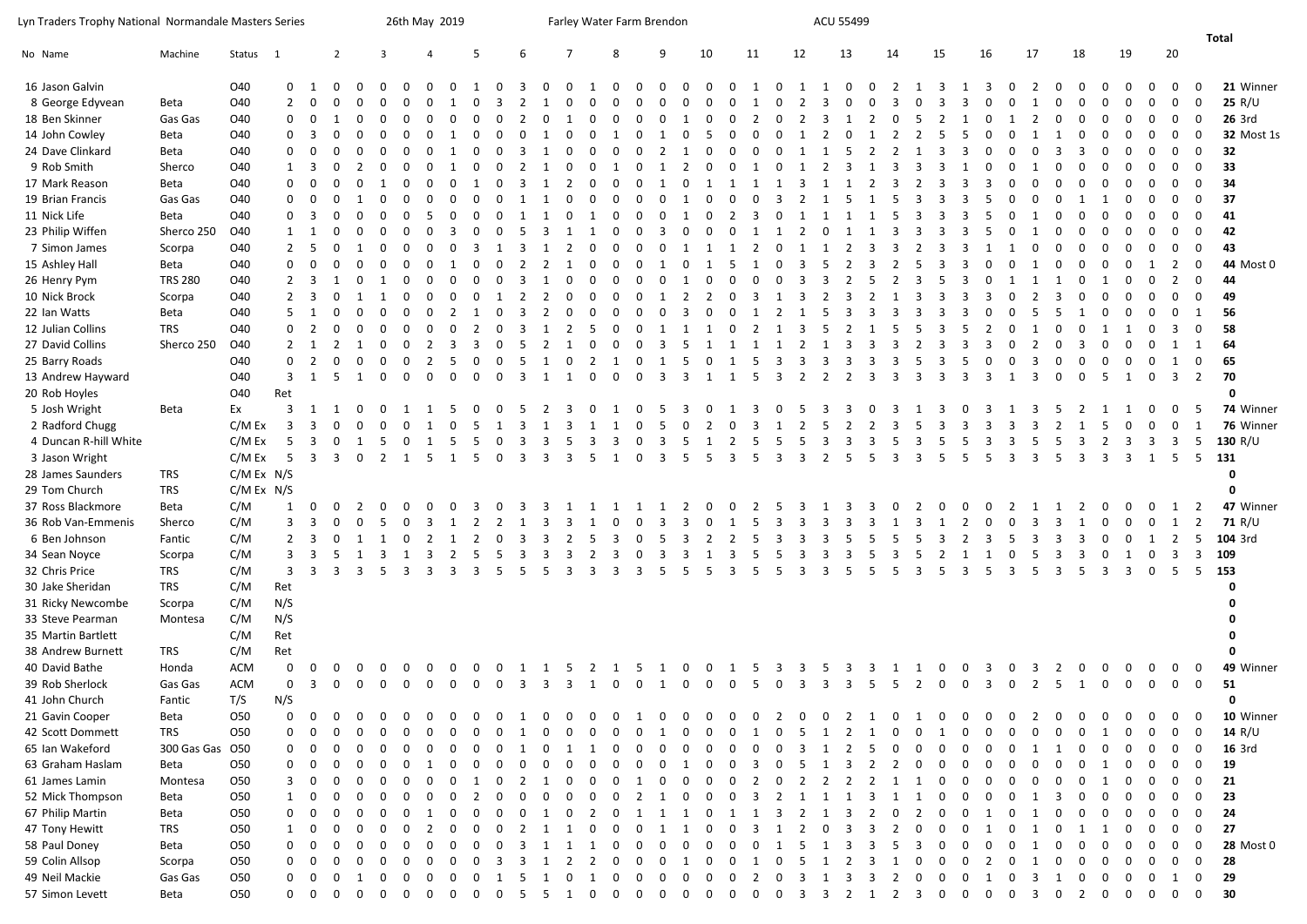26th May 2019 **Farley Water Farm Brendon** Massess 26th May 2019

|                       |                 |            |                |                         |                |                |                         |                               |             |             |                         |         |   |                |    |                |              |                         |                            |              |                         |              |    |                    |    |                |          |                         |             |                         |                |                  |                |                |              |              |                         |                 | Total             |
|-----------------------|-----------------|------------|----------------|-------------------------|----------------|----------------|-------------------------|-------------------------------|-------------|-------------|-------------------------|---------|---|----------------|----|----------------|--------------|-------------------------|----------------------------|--------------|-------------------------|--------------|----|--------------------|----|----------------|----------|-------------------------|-------------|-------------------------|----------------|------------------|----------------|----------------|--------------|--------------|-------------------------|-----------------|-------------------|
| No Name               | Machine         | Status     | $\overline{1}$ |                         | $\overline{2}$ |                | 3                       |                               |             | 5           |                         |         |   | 7              |    | 8              |              | 9                       | 10                         |              | 11                      |              | 12 | 13                 |    | 14             |          | 15                      |             | 16                      |                | 17               | 18             |                | 19           |              | 20                      |                 |                   |
| 16 Jason Galvin       |                 | O40        | $\mathbf{0}$   |                         |                |                |                         |                               |             |             |                         |         |   |                |    |                |              |                         |                            |              |                         |              |    |                    |    |                |          |                         |             |                         |                |                  |                |                |              |              |                         | $\Omega$        | 21 Winner         |
| 8 George Edyvean      | Beta            | O40        | $\overline{2}$ | $\Omega$                |                |                |                         |                               |             |             |                         |         |   |                |    |                |              |                         |                            |              |                         |              |    |                    |    |                |          |                         |             |                         |                |                  |                |                |              |              |                         | $\Omega$        | 25 $R/U$          |
| 18 Ben Skinner        | Gas Gas         | O40        | 0              | $\mathbf 0$             |                |                |                         |                               |             |             |                         |         |   |                |    |                |              |                         |                            |              |                         |              |    |                    |    |                |          |                         |             |                         |                |                  |                |                |              |              | 0                       | $\Omega$        | <b>26 3rd</b>     |
| 14 John Cowley        | Beta            | O40        | $\Omega$       | 3                       |                |                |                         |                               |             |             |                         |         |   |                |    |                |              |                         |                            |              |                         |              |    |                    |    |                |          |                         |             |                         |                |                  |                |                |              |              |                         | $\Omega$        | <b>32 Most 1s</b> |
| 24 Dave Clinkard      | Beta            | O40        | $\mathbf{0}$   | $\mathbf 0$             |                |                |                         |                               |             |             |                         |         |   |                |    |                |              |                         |                            |              |                         |              |    |                    |    |                |          |                         |             |                         |                |                  |                |                |              |              |                         | $\Omega$        | 32                |
| 9 Rob Smith           | Sherco          | O40        | $\mathbf{1}$   | $\overline{\mathbf{3}}$ |                |                |                         |                               |             |             |                         |         |   |                |    |                |              |                         |                            |              |                         |              |    |                    |    |                |          |                         |             |                         |                |                  |                |                |              |              |                         | $\Omega$        | 33                |
| 17 Mark Reason        | Beta            | O40        | $\mathbf 0$    | $\Omega$                |                |                |                         |                               |             |             |                         |         |   |                |    |                |              |                         |                            |              |                         |              |    |                    |    |                |          |                         |             |                         |                |                  |                |                |              |              |                         | $\Omega$        | 34                |
| 19 Brian Francis      | Gas Gas         | O40        | $\Omega$       | $\mathbf 0$             |                |                |                         |                               |             |             |                         |         |   |                |    |                |              |                         |                            |              |                         |              |    |                    |    |                |          |                         |             |                         |                |                  |                |                |              |              |                         | $\Omega$        | 37                |
| 11 Nick Life          | Beta            | O40        | $\Omega$       | - 3                     |                |                |                         |                               |             |             |                         |         |   |                |    |                |              |                         |                            |              |                         |              |    |                    |    |                |          |                         |             |                         |                |                  |                |                |              |              |                         | $\Omega$        | 41                |
| 23 Philip Wiffen      | Sherco 250      | O40        | 1              | - 1                     |                |                |                         |                               |             |             |                         |         |   |                |    |                |              |                         |                            |              |                         |              |    |                    |    |                |          |                         |             |                         |                |                  |                |                |              |              |                         | $\Omega$        | 42                |
| 7 Simon James         | Scorpa          | O40        | $\overline{2}$ | - 5                     |                |                |                         |                               |             |             |                         |         |   |                |    |                |              |                         |                            |              |                         |              |    |                    |    |                |          |                         |             |                         |                |                  |                |                |              |              |                         | $\mathbf 0$     | 43                |
| 15 Ashley Hall        | Beta            | O40        | $\mathbf 0$    | $\mathbf 0$             |                |                |                         |                               |             |             |                         |         |   |                |    |                |              |                         |                            |              |                         |              |    |                    |    |                |          |                         |             |                         |                |                  |                |                |              |              |                         | $\Omega$        | 44 Most 0         |
| 26 Henry Pym          | <b>TRS 280</b>  | O40        | $\overline{2}$ | $\overline{3}$          |                |                |                         |                               |             |             |                         |         |   |                |    |                |              |                         |                            |              |                         |              |    |                    |    |                |          |                         |             |                         |                |                  |                |                |              |              |                         | $\Omega$        | 44                |
| 10 Nick Brock         | Scorpa          | O40        | $\overline{2}$ | $\overline{\mathbf{3}}$ |                |                |                         |                               |             |             |                         |         |   |                |    |                |              |                         |                            |              |                         |              |    |                    |    |                |          |                         |             |                         |                |                  |                |                |              |              |                         | $\Omega$        | 49                |
| 22 Ian Watts          | Beta            | O40        | 5              | -1                      |                |                |                         |                               |             |             |                         |         |   |                |    |                |              |                         |                            |              |                         |              |    |                    |    |                |          |                         |             |                         |                |                  |                |                |              |              |                         |                 | 56                |
| 12 Julian Collins     | <b>TRS</b>      | O40        | $\mathbf 0$    | $\overline{2}$          |                |                |                         |                               |             |             |                         |         |   |                |    |                |              |                         |                            |              |                         |              |    |                    |    |                |          |                         |             |                         |                |                  |                |                |              |              |                         | $\Omega$        | 58                |
| 27 David Collins      | Sherco 250      | O40        | $\overline{2}$ | - 1                     |                |                |                         |                               |             |             |                         |         |   |                |    |                |              |                         |                            |              |                         |              |    |                    |    |                |          |                         |             |                         |                |                  |                |                |              |              |                         | -1              | 64                |
| 25 Barry Roads        |                 | O40        | $\mathbf 0$    | 2                       |                |                |                         |                               |             |             |                         |         |   |                |    |                |              |                         |                            |              |                         |              |    |                    |    |                |          |                         |             |                         |                |                  |                |                |              |              |                         | $\mathbf 0$     | 65                |
| 13 Andrew Hayward     |                 | O40        | $\overline{3}$ | 1                       | -5             | -1             | $\Omega$                | $\Omega$<br>$\Omega$          |             |             | $\Omega$                | 3       |   |                |    | ŋ              |              | З                       | 3<br>-1                    |              | 5                       | 3            |    |                    | -3 |                |          |                         |             |                         |                | $\Omega$         | $\Omega$       | 5              | 1            | $\Omega$     | 3                       | $\overline{2}$  | 70                |
| 20 Rob Hoyles         |                 | O40        | Ret            |                         |                |                |                         |                               |             |             |                         |         |   |                |    |                |              |                         |                            |              |                         |              |    |                    |    |                |          |                         |             |                         |                |                  |                |                |              |              |                         |                 | 0                 |
| 5 Josh Wright         | Beta            | Ex         | 3              | - 1                     |                |                |                         |                               |             |             |                         |         |   |                |    |                |              |                         |                            |              |                         |              |    |                    |    |                |          |                         |             |                         |                |                  |                |                |              |              |                         |                 | 74 Winner         |
| 2 Radford Chugg       |                 | C/M Ex     | $\overline{3}$ | 3                       |                |                |                         |                               |             |             |                         |         |   |                |    |                |              |                         |                            |              |                         |              |    |                    |    |                |          |                         |             |                         |                |                  |                |                |              |              |                         |                 | 76 Winner         |
| 4 Duncan R-hill White |                 | C/M Ex     | 5              |                         |                |                |                         |                               |             |             |                         |         |   |                |    |                |              |                         |                            |              |                         |              |    |                    |    |                |          |                         |             |                         |                |                  |                |                |              |              | 3                       | 5               | 130 $R/U$         |
| 3 Jason Wright        |                 | C/M Ex     | -5             | 3                       | 3              | $\Omega$       | $\overline{2}$          | 5                             |             | -5          | $\Omega$                | ર       |   | 3              | 5  |                |              | $\overline{3}$          | 5<br>5                     | ્વ           | -5                      | $\mathbf{R}$ | २  | $\mathcal{P}$      | 5  | $\mathbf{a}$   | ર        |                         | -5          | 5                       | 3              | -5               | $\overline{3}$ | 3              | 3            | 1            | -5                      | $5\overline{5}$ | 131               |
| 28 James Saunders     | <b>TRS</b>      | C/M Ex N/S |                |                         |                |                |                         |                               |             |             |                         |         |   |                |    |                |              |                         |                            |              |                         |              |    |                    |    |                |          |                         |             |                         |                |                  |                |                |              |              |                         |                 | 0                 |
| 29 Tom Church         | <b>TRS</b>      | C/M Ex N/S |                |                         |                |                |                         |                               |             |             |                         |         |   |                |    |                |              |                         |                            |              |                         |              |    |                    |    |                |          |                         |             |                         |                |                  |                |                |              |              |                         |                 | 0                 |
| 37 Ross Blackmore     | Beta            | C/M        | $\mathbf{1}$   | $\mathbf{0}$            | $\Omega$       |                |                         |                               |             |             |                         |         |   |                |    |                |              |                         |                            |              |                         |              |    |                    |    |                |          |                         |             |                         |                |                  |                |                |              |              |                         | 2               | 47 Winner         |
| 36 Rob Van-Emmenis    | Sherco          | C/M        | $\overline{3}$ | 3                       |                |                |                         |                               |             |             |                         |         |   |                |    |                |              |                         |                            |              |                         |              | ₹  | ₹                  |    |                |          |                         |             |                         |                |                  |                |                |              |              |                         | $\overline{2}$  | 71 R/U            |
| 6 Ben Johnson         | Fantic          | C/M        | $\overline{2}$ | 3                       |                |                |                         |                               |             |             |                         |         |   |                |    |                |              |                         |                            |              |                         |              |    |                    |    |                |          |                         |             |                         |                |                  |                |                |              |              |                         |                 | 104 3rd           |
| 34 Sean Noyce         | Scorpa          | C/M        | $\overline{3}$ | 3                       |                |                |                         |                               |             |             |                         |         |   |                |    |                |              |                         |                            |              |                         |              |    |                    |    |                |          |                         |             |                         |                |                  |                |                |              |              |                         | 3               | 109               |
| 32 Chris Price        | <b>TRS</b>      | C/M        | $\overline{3}$ | $\overline{3}$          |                |                |                         | 3                             |             | 3           |                         |         |   |                |    |                |              |                         | -5<br>5                    |              |                         |              | з  |                    | 5  |                | ર        |                         |             |                         | З              |                  | 5              | з              | 3            |              | 5                       | 5               | 153               |
| 30 Jake Sheridan      | <b>TRS</b>      | C/M        | Ret            |                         |                |                |                         |                               |             |             |                         |         |   |                |    |                |              |                         |                            |              |                         |              |    |                    |    |                |          |                         |             |                         |                |                  |                |                |              |              |                         |                 | 0                 |
| 31 Ricky Newcombe     | Scorpa          | C/M        | N/S            |                         |                |                |                         |                               |             |             |                         |         |   |                |    |                |              |                         |                            |              |                         |              |    |                    |    |                |          |                         |             |                         |                |                  |                |                |              |              |                         |                 | 0                 |
| 33 Steve Pearman      | Montesa         | C/M        | N/S            |                         |                |                |                         |                               |             |             |                         |         |   |                |    |                |              |                         |                            |              |                         |              |    |                    |    |                |          |                         |             |                         |                |                  |                |                |              |              |                         |                 | $\mathbf 0$       |
| 35 Martin Bartlett    |                 | C/M        | Ret            |                         |                |                |                         |                               |             |             |                         |         |   |                |    |                |              |                         |                            |              |                         |              |    |                    |    |                |          |                         |             |                         |                |                  |                |                |              |              |                         |                 | $\mathbf 0$       |
| 38 Andrew Burnett     | <b>TRS</b>      | C/M        | Ret            |                         |                |                |                         |                               |             |             |                         |         |   |                |    |                |              |                         |                            |              |                         |              |    |                    |    |                |          |                         |             |                         |                |                  |                |                |              |              |                         |                 | 0                 |
| 40 David Bathe        | Honda           | ACM        | $\mathbf 0$    | $\Omega$                |                |                |                         |                               |             |             |                         |         |   |                |    |                |              |                         | <sup>0</sup>               |              |                         |              |    |                    |    |                |          |                         |             |                         |                |                  |                |                |              |              |                         |                 | 49 Winner         |
| 39 Rob Sherlock       | Gas Gas         | ACM        | $\mathbf 0$    | $\overline{\mathbf{3}}$ | $\overline{0}$ | $\overline{0}$ | $\mathbf 0$             | $\overline{0}$<br>$\mathbf 0$ | 0           | $\Omega$    | 0                       | -3      | 3 | 3              | 1  | $\mathbf{0}$   | $\Omega$     | -1                      | $\Omega$<br>$\mathbf 0$    | $\Omega$     | -5                      | $\Omega$     | 3  | 3<br>3             | .5 | -5             | 2        | 0                       | $\Omega$    | 3                       | $\mathbf 0$    | -5<br>2          | 1              | $\overline{0}$ | $\mathbf{0}$ | $\mathbf 0$  | $\mathbf 0$             | $\overline{0}$  | 51                |
| 41 John Church        | Fantic          | T/S        | N/S            |                         |                |                |                         |                               |             |             |                         |         |   |                |    |                |              |                         |                            |              |                         |              |    |                    |    |                |          |                         |             |                         |                |                  |                |                |              |              |                         |                 | 0                 |
| 21 Gavin Cooper       | Beta            | <b>O50</b> | $\mathbf 0$    | $\mathbf 0$             | $\mathbf 0$    | $\mathbf{0}$   | $\mathbf{0}$            | $\overline{0}$<br>$\mathbf 0$ | $\mathbf 0$ | $\mathbf 0$ | $\mathbf 0$             | 1       | 0 | 0              | 0  | 0              | 1            | $\mathbf 0$             | $\mathbf 0$<br>$\mathbf 0$ | $\mathbf 0$  | $\mathbf 0$             | 2            | 0  | 0<br>2             | 1  | $\mathbf{0}$   | 1        | 0                       | 0           | 0                       | $\mathbf 0$    | 2<br>$\mathbf 0$ | 0              | 0              | $\Omega$     | $\mathbf 0$  | $\mathbf 0$             | $\mathbf{0}$    | 10 Winner         |
| 42 Scott Dommett      | <b>TRS</b>      | O50        | $\mathbf 0$    | 0                       |                |                | 0                       | 0                             |             |             |                         |         |   |                | 0  |                |              |                         | 0                          |              |                         | 0            |    |                    |    |                |          |                         |             |                         |                |                  |                |                |              |              | 0                       | 0               | 14 $R/U$          |
| 65 Ian Wakeford       | 300 Gas Gas 050 |            | 0              | 0                       | 0              | $\Omega$       | 0                       | 0<br>$\Omega$                 | $\Omega$    | $\Omega$    | $\mathbf 0$             | -1      |   | -1             | -1 | 0              | 0            | 0                       | $\Omega$<br>0              | $\Omega$     | $\Omega$                | $\mathbf 0$  | 3  | 1                  | -5 | $\Omega$       | $\Omega$ | $\Omega$                | $\Omega$    | $\Omega$                | $\Omega$       | -1               | $\Omega$       | 0              | 0            | 0            | $\mathbf 0$             | 0               | 16 3rd            |
| 63 Graham Haslam      | Beta            | O50        |                | 0                       |                |                |                         |                               |             |             |                         | O       |   |                |    | O              | $\Omega$     | <sup>0</sup>            | 1<br><sup>0</sup>          | $\Omega$     | 3                       | $\mathbf 0$  | 5  |                    | 2  | $\mathcal{P}$  | O        |                         |             |                         |                |                  |                |                |              | 0            | 0                       | 0               | 19                |
| 61 James Lamin        | Montesa         | O50        | 3              | $\mathbf{0}$            |                |                |                         |                               |             |             |                         | 2       |   |                |    |                |              |                         |                            |              |                         | 0            | 2  | 2                  |    |                |          |                         |             |                         |                |                  |                |                |              |              | 0                       | 0               | 21                |
| 52 Mick Thompson      | Beta            | 050        | 1              | $\mathbf 0$             |                |                |                         |                               |             |             |                         |         |   |                |    |                |              |                         | <sup>0</sup>               |              | 3                       |              | -1 |                    | 3  |                |          |                         |             |                         |                | 3                |                |                |              |              | 0                       | 0               | 23                |
| 67 Philip Martin      | Beta            | 050        | $\Omega$       | 0                       |                |                |                         |                               |             |             | 0                       | 0       |   |                | 2  | 0              |              |                         | 0                          | -1           | -1                      | 3            | 2  | З                  | -2 |                |          |                         |             |                         |                |                  |                |                |              |              | 0                       | 0               | 24                |
| 47 Tony Hewitt        | TRS             | 050        | 1              | $\overline{0}$          | 0              |                |                         |                               |             | $\Omega$    | 0                       | 2       |   |                | 0  | 0              | $\Omega$     | -1                      | 1<br>0                     | 0            | -3                      | 1            | 2  | $\Omega$<br>3      | -3 | 2              | $\Omega$ |                         |             | -1                      |                | 0                | 1              | 1              |              | 0            | $\mathbf{0}$            | $\mathbf 0$     | 27                |
| 58 Paul Doney         | Beta            | 050        | 0              | $\mathbf 0$             |                |                |                         |                               |             |             | 0                       | -3      |   |                |    |                |              |                         | 0                          |              |                         |              | 5  |                    |    |                |          |                         |             |                         |                |                  |                |                |              | 0            | 0                       | 0               | <b>28 Most 0</b>  |
| 59 Colin Allsop       | Scorpa          | 050        | 0              | 0                       |                |                |                         | 0                             |             |             | 3                       | 3       | 1 | $\overline{2}$ | 2  | 0              | 0            | 0                       | 1<br>0                     | 0            | -1                      | 0            | 5  | 1<br>$\mathcal{L}$ | -3 |                | 0        |                         |             | 2                       |                |                  |                |                |              |              | 0                       | 0               | 28                |
| 49 Neil Mackie        | Gas Gas         | 050        | 0              | 0                       | 0              | -1             | 0                       | 0<br>$\Omega$                 | 0           | 0           | 1                       | 5       | 1 | 0              |    | $\overline{0}$ | 0            | 0                       | 0<br>0                     | 0            | 2                       | 0            | 3  | 1<br>3             | 3  | $\overline{2}$ | 0        | 0                       | 0           |                         | 0              |                  | $\Omega$       | 0              | 0            | 0            | 1                       | 0               | 29                |
| 57 Simon Levett       | Beta            | <b>O50</b> | $\mathbf{0}$   | $\overline{0}$          | $\mathbf 0$    | $\mathbf 0$    | $\overline{\mathbf{0}}$ | $\mathbf 0$<br>$\mathbf{0}$   | 0           | $\mathbf 0$ | $\overline{\mathbf{0}}$ | 5 5 1 0 |   |                |    | $\overline{0}$ |              | $\mathbf 0$             | $\mathbf 0$                | $\mathbf{0}$ | $\overline{\mathbf{0}}$ |              |    | 0 3 3 2 1 2 3      |    |                |          | $\overline{\mathbf{0}}$ | $\mathbf 0$ | $\overline{\mathbf{0}}$ | $\overline{0}$ |                  | $0\quad 2$     | $\mathbf 0$    |              |              | $\overline{\mathbf{0}}$ | 0               | 30                |
|                       |                 |            |                |                         |                |                |                         |                               |             |             |                         |         |   |                |    |                | $\mathbf{0}$ | $\overline{\mathbf{0}}$ |                            |              |                         |              |    |                    |    |                |          |                         |             |                         |                | 3                |                |                | $\mathbf{0}$ | $\mathbf{0}$ |                         |                 |                   |